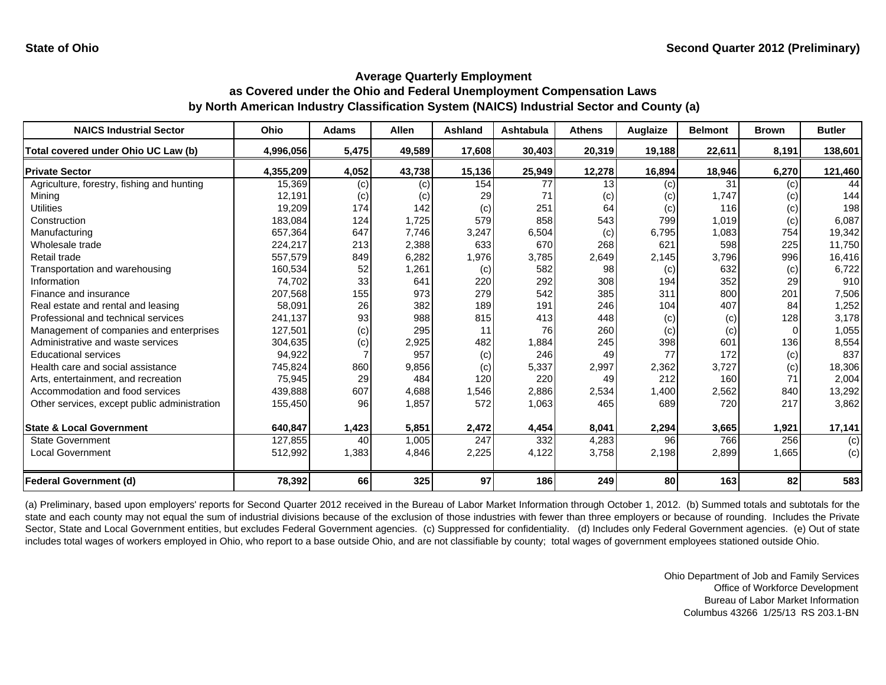| <b>NAICS Industrial Sector</b>               | Ohio      | <b>Adams</b> | <b>Allen</b> | <b>Ashland</b> | <b>Ashtabula</b> | <b>Athens</b> | Auglaize | <b>Belmont</b> | <b>Brown</b> | <b>Butler</b> |
|----------------------------------------------|-----------|--------------|--------------|----------------|------------------|---------------|----------|----------------|--------------|---------------|
| Total covered under Ohio UC Law (b)          | 4,996,056 | 5,475        | 49,589       | 17,608         | 30,403           | 20,319        | 19,188   | 22,611         | 8,191        | 138,601       |
| <b>Private Sector</b>                        | 4,355,209 | 4,052        | 43,738       | 15,136         | 25,949           | 12,278        | 16,894   | 18,946         | 6,270        | 121,460       |
| Agriculture, forestry, fishing and hunting   | 15,369    | (c)          | (c)          | 154            | 77               | 13            | (c)      | 31             | (c)          | 44            |
| Minina                                       | 12.191    | (c)          | (c)          | 29             | 71               | (c)           | (c)      | 1.747          | (c)          | 144           |
| <b>Utilities</b>                             | 19,209    | 174          | 142          | (c)            | 251              | 64            | (c)      | 116            | (c)          | 198           |
| Construction                                 | 183,084   | 124          | 1,725        | 579            | 858              | 543           | 799      | 1,019          | (c)          | 6,087         |
| Manufacturing                                | 657,364   | 647          | 7,746        | 3,247          | 6,504            | (c)           | 6,795    | 1,083          | 754          | 19,342        |
| Wholesale trade                              | 224,217   | 213          | 2,388        | 633            | 670              | 268           | 621      | 598            | 225          | 11,750        |
| Retail trade                                 | 557,579   | 849          | 6,282        | 1,976          | 3,785            | 2,649         | 2,145    | 3,796          | 996          | 16,416        |
| Transportation and warehousing               | 160,534   | 52           | 1,261        | (c)            | 582              | 98            | (c)      | 632            | (c)          | 6,722         |
| Information                                  | 74,702    | 33           | 641          | 220            | 292              | 308           | 194      | 352            | 29           | 910           |
| Finance and insurance                        | 207,568   | 155          | 973          | 279            | 542              | 385           | 311      | 800            | 201          | 7,506         |
| Real estate and rental and leasing           | 58,091    | 26           | 382          | 189            | 191              | 246           | 104      | 407            | 84           | 1,252         |
| Professional and technical services          | 241,137   | 93           | 988          | 815            | 413              | 448           | (c)      | (c)            | 128          | 3,178         |
| Management of companies and enterprises      | 127,501   | (c)          | 295          | 11             | 76               | 260           | (c)      | (c)            |              | 1,055         |
| Administrative and waste services            | 304,635   | (c)          | 2,925        | 482            | 1,884            | 245           | 398      | 601            | 136          | 8,554         |
| <b>Educational services</b>                  | 94,922    |              | 957          | (c)            | 246              | 49            | 77       | 172            | (c)          | 837           |
| Health care and social assistance            | 745,824   | 860          | 9,856        | (c)            | 5,337            | 2,997         | 2,362    | 3,727          | (c)          | 18,306        |
| Arts, entertainment, and recreation          | 75,945    | 29           | 484          | 120            | 220              | 49            | 212      | 160            | 71           | 2,004         |
| Accommodation and food services              | 439,888   | 607          | 4,688        | 1,546          | 2,886            | 2,534         | 1,400    | 2,562          | 840          | 13,292        |
| Other services, except public administration | 155,450   | 96           | 1,857        | 572            | 1,063            | 465           | 689      | 720            | 217          | 3,862         |
| <b>State &amp; Local Government</b>          | 640,847   | 1,423        | 5,851        | 2,472          | 4,454            | 8,041         | 2,294    | 3,665          | 1,921        | 17,141        |
| <b>State Government</b>                      | 127,855   | 40           | 1,005        | 247            | 332              | 4,283         | 96       | 766            | 256          | (c)           |
| <b>Local Government</b>                      | 512,992   | 1,383        | 4,846        | 2,225          | 4,122            | 3,758         | 2,198    | 2,899          | 1,665        | (c)           |
| Federal Government (d)                       | 78,392    | 66           | 325          | 97             | 186              | 249           | 80       | 163            | 82           | 583           |

(a) Preliminary, based upon employers' reports for Second Quarter 2012 received in the Bureau of Labor Market Information through October 1, 2012. (b) Summed totals and subtotals for the state and each county may not equal the sum of industrial divisions because of the exclusion of those industries with fewer than three employers or because of rounding. Includes the Private Sector, State and Local Government entities, but excludes Federal Government agencies. (c) Suppressed for confidentiality. (d) Includes only Federal Government agencies. (e) Out of state includes total wages of workers employed in Ohio, who report to a base outside Ohio, and are not classifiable by county; total wages of government employees stationed outside Ohio.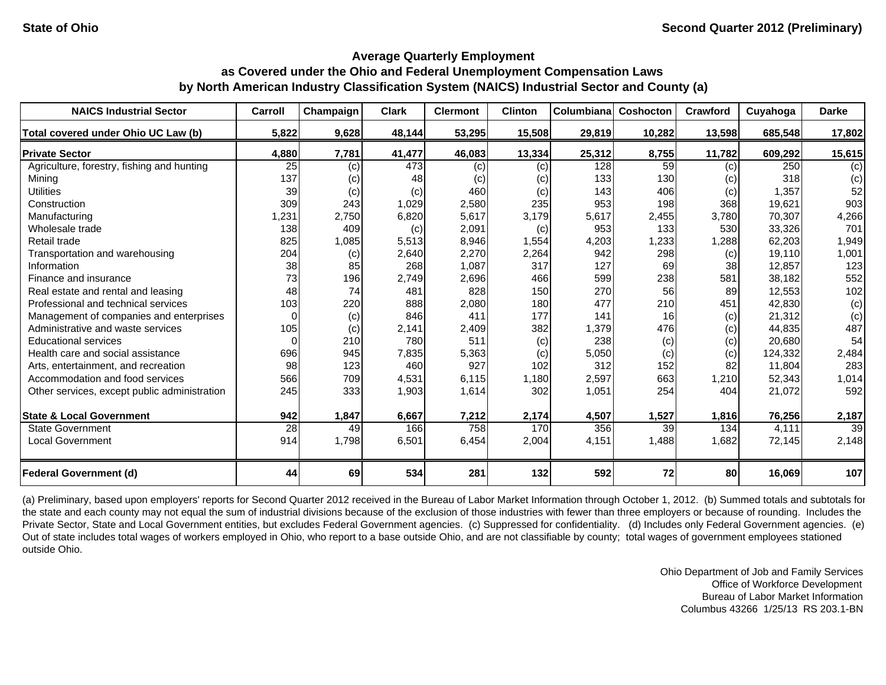| <b>NAICS Industrial Sector</b>               | Carroll  | Champaign | <b>Clark</b> | <b>Clermont</b> | <b>Clinton</b> | Columbiana | Coshocton | Crawford | Cuyahoga | <b>Darke</b>    |
|----------------------------------------------|----------|-----------|--------------|-----------------|----------------|------------|-----------|----------|----------|-----------------|
| Total covered under Ohio UC Law (b)          | 5,822    | 9,628     | 48,144       | 53,295          | 15,508         | 29,819     | 10,282    | 13,598   | 685,548  | 17,802          |
| <b>Private Sector</b>                        | 4,880    | 7,781     | 41,477       | 46,083          | 13,334         | 25,312     | 8,755     | 11,782   | 609,292  | 15,615          |
| Agriculture, forestry, fishing and hunting   | 25       | (c)       | 473          | (c)             | (c)            | 128        | 59        | (c)      | 250      | (c)             |
| Mining                                       | 137      | (c)       | 48           | (c)             | (c)            | 133        | 130       | (c)      | 318      | (c)             |
| <b>Utilities</b>                             | 39       | (c)       | (c)          | 460             | (c)            | 143        | 406       | (c)      | 1,357    | 52              |
| Construction                                 | 309      | 243       | 1,029        | 2,580           | 235            | 953        | 198       | 368      | 19,621   | 903             |
| Manufacturing                                | 1,231    | 2,750     | 6,820        | 5,617           | 3,179          | 5,617      | 2,455     | 3,780    | 70,307   | 4,266           |
| Wholesale trade                              | 138      | 409       | (c)          | 2,091           | (c)            | 953        | 133       | 530      | 33,326   | 701             |
| Retail trade                                 | 825      | 1,085     | 5,513        | 8,946           | 1,554          | 4,203      | ,233      | 1,288    | 62,203   | 1,949           |
| Transportation and warehousing               | 204      | (c)       | 2,640        | 2,270           | 2,264          | 942        | 298       | (c)      | 19,110   | 1,001           |
| Information                                  | 38       | 85        | 268          | 1,087           | 317            | 127        | 69        | 38       | 12,857   | 123             |
| Finance and insurance                        | 73       | 196       | 2,749        | 2,696           | 466            | 599        | 238       | 581      | 38,182   | 552             |
| Real estate and rental and leasing           | 48       | 74        | 481          | 828             | 150            | 270        | 56        | 89       | 12,553   | 102             |
| Professional and technical services          | 103      | 220       | 888          | 2,080           | 180            | 477        | 210       | 451      | 42,830   | (c)             |
| Management of companies and enterprises      | $\Omega$ | (c)       | 846          | 411             | 177            | 141        | 16        | (c)      | 21,312   | (c)             |
| Administrative and waste services            | 105      | (c)       | 2,141        | 2,409           | 382            | 1,379      | 476       | (c)      | 44,835   | 487             |
| <b>Educational services</b>                  | $\Omega$ | 210       | 780          | 511             | (c)            | 238        | (c)       | (c)      | 20,680   | 54              |
| Health care and social assistance            | 696      | 945       | 7,835        | 5,363           | (c)            | 5,050      | (c)       | (c)      | 124,332  | 2,484           |
| Arts, entertainment, and recreation          | 98       | 123       | 460          | 927             | 102            | 312        | 152       | 82       | 11,804   | 283             |
| Accommodation and food services              | 566      | 709       | 4,531        | 6,115           | 1,180          | 2,597      | 663       | 1,210    | 52,343   | 1,014           |
| Other services, except public administration | 245      | 333       | 1,903        | 1,614           | 302            | 1,051      | 254       | 404      | 21,072   | 592             |
| <b>State &amp; Local Government</b>          | 942      | 1,847     | 6,667        | 7,212           | 2,174          | 4,507      | 1,527     | 1,816    | 76,256   | 2,187           |
| <b>State Government</b>                      | 28       | 49        | 166          | 758             | 170            | 356        | 39        | 134      | 4,111    | $\overline{39}$ |
| <b>Local Government</b>                      | 914      | 1,798     | 6,501        | 6,454           | 2,004          | 4,151      | 1,488     | 1,682    | 72,145   | 2,148           |
| <b>Federal Government (d)</b>                | 44       | 69        | 534          | 281             | 132            | 592        | 72        | 80       | 16,069   | 107             |

(a) Preliminary, based upon employers' reports for Second Quarter 2012 received in the Bureau of Labor Market Information through October 1, 2012. (b) Summed totals and subtotals for the state and each county may not equal the sum of industrial divisions because of the exclusion of those industries with fewer than three employers or because of rounding. Includes the Private Sector, State and Local Government entities, but excludes Federal Government agencies. (c) Suppressed for confidentiality. (d) Includes only Federal Government agencies. (e) Out of state includes total wages of workers employed in Ohio, who report to a base outside Ohio, and are not classifiable by county; total wages of government employees stationed outside Ohio.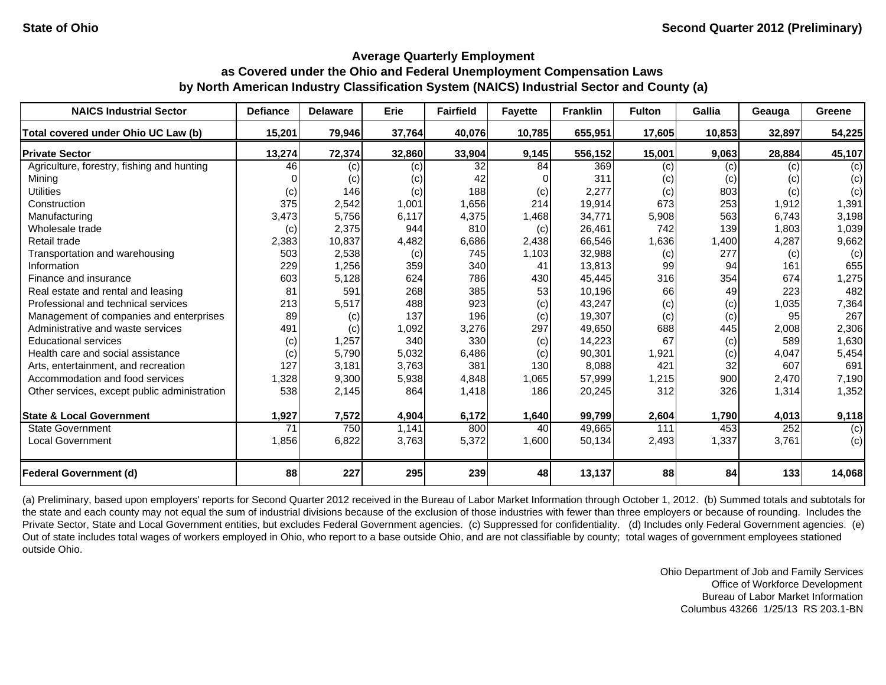| <b>NAICS Industrial Sector</b>               | <b>Defiance</b> | <b>Delaware</b> | Erie   | <b>Fairfield</b> | <b>Fayette</b> | <b>Franklin</b> | <b>Fulton</b> | Gallia | Geauga | Greene |
|----------------------------------------------|-----------------|-----------------|--------|------------------|----------------|-----------------|---------------|--------|--------|--------|
| Total covered under Ohio UC Law (b)          | 15,201          | 79,946          | 37,764 | 40,076           | 10,785         | 655,951         | 17,605        | 10,853 | 32,897 | 54,225 |
| <b>Private Sector</b>                        | 13,274          | 72,374          | 32,860 | 33,904           | 9,145          | 556,152         | 15,001        | 9,063  | 28,884 | 45,107 |
| Agriculture, forestry, fishing and hunting   | 46              | (c)             | (c)    | 32               | 84             | 369             | (c)           | (c)    | (c)    | (c)    |
| Mining                                       |                 | (c)             | (c)    | 42               |                | 311             | (c)           | (c)    | (c)    | (c)    |
| <b>Utilities</b>                             | (c)             | 146             | (c)    | 188              | (c)            | 2,277           | (c)           | 803    | (c)    | (c)    |
| Construction                                 | 375             | 2,542           | 1,001  | 1,656            | 214            | 19,914          | 673           | 253    | 1,912  | 1,391  |
| Manufacturing                                | 3,473           | 5,756           | 6,117  | 4,375            | 1,468          | 34,771          | 5,908         | 563    | 6,743  | 3,198  |
| Wholesale trade                              | (c)             | 2,375           | 944    | 810              | (c)            | 26,461          | 742           | 139    | 1,803  | 1,039  |
| Retail trade                                 | 2,383           | 10,837          | 4,482  | 6,686            | 2,438          | 66,546          | 1,636         | 1,400  | 4,287  | 9,662  |
| Transportation and warehousing               | 503             | 2,538           | (c)    | 745              | 1,103          | 32,988          | (c)           | 277    | (c)    | (c)    |
| Information                                  | 229             | 1,256           | 359    | 340              | 41             | 13,813          | 99            | 94     | 161    | 655    |
| Finance and insurance                        | 603             | 5,128           | 624    | 786              | 430            | 45,445          | 316           | 354    | 674    | 1,275  |
| Real estate and rental and leasing           | 81              | 591             | 268    | 385              | 53             | 10,196          | 66            | 49     | 223    | 482    |
| Professional and technical services          | 213             | 5,517           | 488    | 923              | (c)            | 43,247          | (c)           | (c)    | 1,035  | 7,364  |
| Management of companies and enterprises      | 89              | (c)             | 137    | 196              | (c)            | 19,307          | (c)           | (c)    | 95     | 267    |
| Administrative and waste services            | 491             | (c)             | 1,092  | 3,276            | 297            | 49,650          | 688           | 445    | 2,008  | 2,306  |
| <b>Educational services</b>                  | (c)             | 1,257           | 340    | 330              | (c)            | 14,223          | 67            | (c)    | 589    | 1,630  |
| Health care and social assistance            | (c)             | 5,790           | 5,032  | 6,486            | (c)            | 90,301          | 1,921         | (c)    | 4,047  | 5,454  |
| Arts, entertainment, and recreation          | 127             | 3,181           | 3,763  | 381              | 130            | 8,088           | 421           | 32     | 607    | 691    |
| Accommodation and food services              | 1,328           | 9,300           | 5,938  | 4,848            | 1,065          | 57,999          | 1,215         | 900    | 2,470  | 7,190  |
| Other services, except public administration | 538             | 2,145           | 864    | 1,418            | 186            | 20,245          | 312           | 326    | 1,314  | 1,352  |
| <b>State &amp; Local Government</b>          | 1,927           | 7,572           | 4,904  | 6,172            | 1,640          | 99,799          | 2,604         | 1,790  | 4,013  | 9,118  |
| <b>State Government</b>                      | 71              | 750             | 1,141  | 800              | 40             | 49,665          | 111           | 453    | 252    | (c)    |
| Local Government                             | 1,856           | 6,822           | 3,763  | 5,372            | 1,600          | 50,134          | 2,493         | 1,337  | 3,761  | (c)    |
| <b>Federal Government (d)</b>                | 88              | 227             | 295    | 239              | 48             | 13,137          | 88            | 84     | 133    | 14,068 |

(a) Preliminary, based upon employers' reports for Second Quarter 2012 received in the Bureau of Labor Market Information through October 1, 2012. (b) Summed totals and subtotals for the state and each county may not equal the sum of industrial divisions because of the exclusion of those industries with fewer than three employers or because of rounding. Includes the Private Sector, State and Local Government entities, but excludes Federal Government agencies. (c) Suppressed for confidentiality. (d) Includes only Federal Government agencies. (e) Out of state includes total wages of workers employed in Ohio, who report to a base outside Ohio, and are not classifiable by county; total wages of government employees stationed outside Ohio.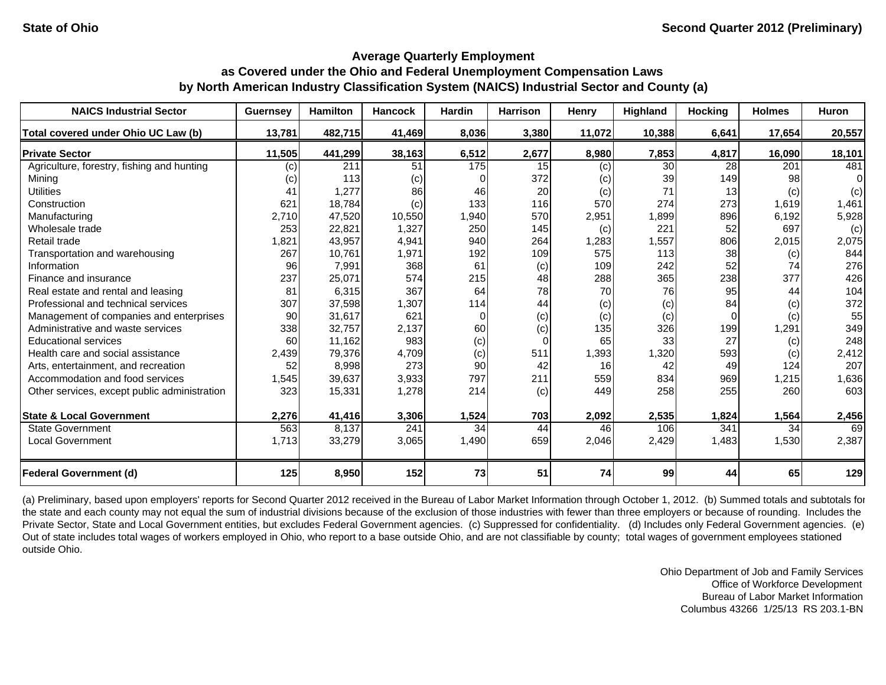| <b>NAICS Industrial Sector</b>               | <b>Guernsey</b> | <b>Hamilton</b> | <b>Hancock</b> | Hardin   | <b>Harrison</b> | Henry  | Highland | <b>Hocking</b> | <b>Holmes</b> | <b>Huron</b> |
|----------------------------------------------|-----------------|-----------------|----------------|----------|-----------------|--------|----------|----------------|---------------|--------------|
| Total covered under Ohio UC Law (b)          | 13,781          | 482,715         | 41,469         | 8,036    | 3,380           | 11,072 | 10,388   | 6,641          | 17,654        | 20,557       |
| <b>Private Sector</b>                        | 11,505          | 441,299         | 38,163         | 6,512    | 2,677           | 8,980  | 7,853    | 4,817          | 16,090        | 18,101       |
| Agriculture, forestry, fishing and hunting   | (c)             | 211             | 51             | 175      | 15              | (c)    | 30       | 28             | 201           | 481          |
| Mining                                       | (c)             | 113             | (c)            |          | 372             | (c)    | 39       | 149            | 98            | 0            |
| <b>Utilities</b>                             | 41              | 1,277           | 86             | 46       | 20              | (c)    | 71       | 13             | (c)           | (c)          |
| Construction                                 | 621             | 18,784          | (c)            | 133      | 116             | 570    | 274      | 273            | 1,619         | 1,461        |
| Manufacturing                                | 2,710           | 47,520          | 10,550         | 1,940    | 570             | 2,951  | 1,899    | 896            | 6,192         | 5,928        |
| Wholesale trade                              | 253             | 22,821          | 1,327          | 250      | 145             | (c)    | 221      | 52             | 697           | (c)          |
| Retail trade                                 | 1,821           | 43,957          | 4,941          | 940      | 264             | 1,283  | 1,557    | 806            | 2,015         | 2,075        |
| Transportation and warehousing               | 267             | 10,761          | 1,971          | 192      | 109             | 575    | 113      | 38             | (c)           | 844          |
| Information                                  | 96              | 7,991           | 368            | 61       | (c)             | 109    | 242      | 52             | 74            | 276          |
| Finance and insurance                        | 237             | 25,071          | 574            | 215      | 48              | 288    | 365      | 238            | 377           | 426          |
| Real estate and rental and leasing           | 81              | 6,315           | 367            | 64       | 78              | 70     | 76       | 95             | 44            | 104          |
| Professional and technical services          | 307             | 37,598          | 1,307          | 114      | 44              | (c)    | (c)      | 84             | (c)           | 372          |
| Management of companies and enterprises      | 90              | 31,617          | 621            | $\Omega$ | (c)             | (c)    | (c)      | $\Omega$       | (c)           | 55           |
| Administrative and waste services            | 338             | 32,757          | 2,137          | 60       | (c)             | 135    | 326      | 199            | 1,291         | 349          |
| <b>Educational services</b>                  | 60              | 11,162          | 983            | (c)      | 0               | 65     | 33       | 27             | (c)           | 248          |
| Health care and social assistance            | 2,439           | 79,376          | 4,709          | (c)      | 511             | 1,393  | 1,320    | 593            | (c)           | 2,412        |
| Arts, entertainment, and recreation          | 52              | 8,998           | 273            | 90       | 42              | 16     | 42       | 49             | 124           | 207          |
| Accommodation and food services              | 1,545           | 39,637          | 3,933          | 797      | 211             | 559    | 834      | 969            | 1,215         | 1,636        |
| Other services, except public administration | 323             | 15,331          | 1,278          | 214      | (c)             | 449    | 258      | 255            | 260           | 603          |
| <b>State &amp; Local Government</b>          | 2,276           | 41,416          | 3,306          | 1,524    | 703             | 2,092  | 2,535    | 1,824          | 1,564         | 2,456        |
| <b>State Government</b>                      | 563             | 8,137           | 241            | 34       | 44              | 46     | 106      | 341            | 34            | 69           |
| <b>Local Government</b>                      | 1,713           | 33,279          | 3,065          | 1,490    | 659             | 2,046  | 2,429    | 1,483          | 1,530         | 2,387        |
| <b>Federal Government (d)</b>                | 125             | 8,950           | 152            | 73       | 51              | 74     | 99       | 44             | 65            | 129          |

(a) Preliminary, based upon employers' reports for Second Quarter 2012 received in the Bureau of Labor Market Information through October 1, 2012. (b) Summed totals and subtotals for the state and each county may not equal the sum of industrial divisions because of the exclusion of those industries with fewer than three employers or because of rounding. Includes the Private Sector, State and Local Government entities, but excludes Federal Government agencies. (c) Suppressed for confidentiality. (d) Includes only Federal Government agencies. (e) Out of state includes total wages of workers employed in Ohio, who report to a base outside Ohio, and are not classifiable by county; total wages of government employees stationed outside Ohio.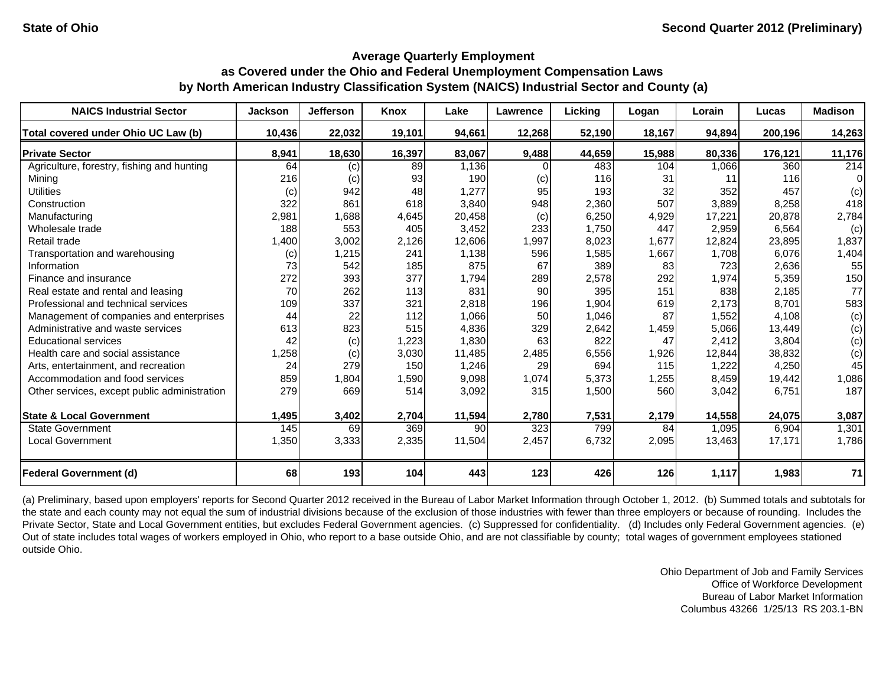| <b>NAICS Industrial Sector</b>               | <b>Jackson</b> | <b>Jefferson</b> | Knox   | Lake   | Lawrence | Licking | Logan  | Lorain | Lucas   | <b>Madison</b> |
|----------------------------------------------|----------------|------------------|--------|--------|----------|---------|--------|--------|---------|----------------|
| Total covered under Ohio UC Law (b)          | 10,436         | 22,032           | 19,101 | 94,661 | 12,268   | 52,190  | 18,167 | 94,894 | 200,196 | 14,263         |
| <b>Private Sector</b>                        | 8,941          | 18,630           | 16,397 | 83,067 | 9,488    | 44,659  | 15,988 | 80,336 | 176,121 | 11,176         |
| Agriculture, forestry, fishing and hunting   | 64             | (c)              | 89     | 1,136  |          | 483     | 104    | 1,066  | 360     | 214            |
| Mining                                       | 216            | (c)              | 93     | 190    | (c)      | 116     | 31     | 11     | 116     | 0              |
| <b>Utilities</b>                             | (c)            | 942              | 48     | 1,277  | 95       | 193     | 32     | 352    | 457     | (c)            |
| Construction                                 | 322            | 861              | 618    | 3,840  | 948      | 2,360   | 507    | 3,889  | 8,258   | 418            |
| Manufacturing                                | 2,981          | 1,688            | 4,645  | 20,458 | (c)      | 6,250   | 4,929  | 17,221 | 20,878  | 2,784          |
| Wholesale trade                              | 188            | 553              | 405    | 3,452  | 233      | 1,750   | 447    | 2,959  | 6,564   | (c)            |
| Retail trade                                 | 1,400          | 3,002            | 2,126  | 12,606 | 1,997    | 8,023   | 1,677  | 12,824 | 23,895  | 1,837          |
| Transportation and warehousing               | (c)            | 1,215            | 241    | 1,138  | 596      | 1,585   | 1,667  | 1,708  | 6,076   | 1,404          |
| Information                                  | 73             | 542              | 185    | 875    | 67       | 389     | 83     | 723    | 2,636   | 55             |
| Finance and insurance                        | 272            | 393              | 377    | 1,794  | 289      | 2,578   | 292    | 1,974  | 5,359   | 150            |
| Real estate and rental and leasing           | 70             | 262              | 113    | 831    | 90       | 395     | 151    | 838    | 2,185   | 77             |
| Professional and technical services          | 109            | 337              | 321    | 2,818  | 196      | 1,904   | 619    | 2,173  | 8,701   | 583            |
| Management of companies and enterprises      | 44             | 22               | 112    | 1,066  | 50       | 1,046   | 87     | 1,552  | 4,108   | (c)            |
| Administrative and waste services            | 613            | 823              | 515    | 4,836  | 329      | 2,642   | 1,459  | 5,066  | 13,449  | (c)            |
| <b>Educational services</b>                  | 42             | (c)              | 1,223  | 1,830  | 63       | 822     | 47     | 2,412  | 3.804   | (c)            |
| Health care and social assistance            | 1,258          | (c)              | 3,030  | 11,485 | 2,485    | 6,556   | 1,926  | 12,844 | 38,832  | (c)            |
| Arts, entertainment, and recreation          | 24             | 279              | 150    | 1,246  | 29       | 694     | 115    | 1,222  | 4,250   | 45             |
| Accommodation and food services              | 859            | 1,804            | 1,590  | 9,098  | 1,074    | 5,373   | 1,255  | 8,459  | 19,442  | 1,086          |
| Other services, except public administration | 279            | 669              | 514    | 3,092  | 315      | 1,500   | 560    | 3,042  | 6,751   | 187            |
| <b>State &amp; Local Government</b>          | 1,495          | 3,402            | 2,704  | 11,594 | 2,780    | 7,531   | 2,179  | 14,558 | 24,075  | 3,087          |
| <b>State Government</b>                      | 145            | 69               | 369    | 90     | 323      | 799     | 84     | 1,095  | 6,904   | 1,301          |
| <b>Local Government</b>                      | 1,350          | 3,333            | 2,335  | 11,504 | 2,457    | 6,732   | 2,095  | 13,463 | 17,171  | 1,786          |
| <b>Federal Government (d)</b>                | 68             | 193              | 104    | 443    | 123      | 426     | 126    | 1,117  | 1,983   | 71             |

(a) Preliminary, based upon employers' reports for Second Quarter 2012 received in the Bureau of Labor Market Information through October 1, 2012. (b) Summed totals and subtotals for the state and each county may not equal the sum of industrial divisions because of the exclusion of those industries with fewer than three employers or because of rounding. Includes the Private Sector, State and Local Government entities, but excludes Federal Government agencies. (c) Suppressed for confidentiality. (d) Includes only Federal Government agencies. (e) Out of state includes total wages of workers employed in Ohio, who report to a base outside Ohio, and are not classifiable by county; total wages of government employees stationed outside Ohio.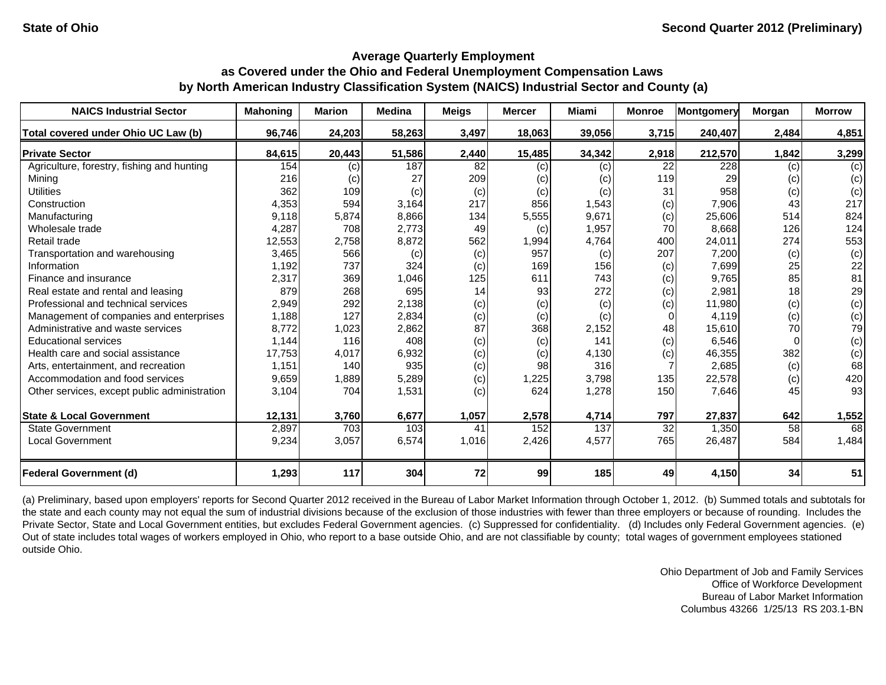| <b>NAICS Industrial Sector</b>               | <b>Mahoning</b> | <b>Marion</b> | <b>Medina</b> | <b>Meigs</b> | <b>Mercer</b> | Miami  | <b>Monroe</b> | <b>Montgomery</b> | Morgan | <b>Morrow</b> |
|----------------------------------------------|-----------------|---------------|---------------|--------------|---------------|--------|---------------|-------------------|--------|---------------|
| Total covered under Ohio UC Law (b)          | 96,746          | 24,203        | 58,263        | 3,497        | 18,063        | 39,056 | 3,715         | 240,407           | 2,484  | 4,851         |
| <b>Private Sector</b>                        | 84,615          | 20,443        | 51,586        | 2,440        | 15,485        | 34,342 | 2,918         | 212,570           | 1,842  | 3,299         |
| Agriculture, forestry, fishing and hunting   | 154             | (c)           | 187           | 82           | (c)           | (c)    | 22            | 228               | (c)    | (c)           |
| Mining                                       | 216             | (c)           | 27            | 209          | (c)           | (c)    | 119           | 29                | (c)    | (c)           |
| <b>Utilities</b>                             | 362             | 109           | (c)           | (c)          | (c)           | (c)    | 31            | 958               | (c)    | (c)           |
| Construction                                 | 4,353           | 594           | 3,164         | 217          | 856           | 1,543  | (c)           | 7,906             | 43     | 217           |
| Manufacturing                                | 9,118           | 5,874         | 8,866         | 134          | 5,555         | 9,671  | (c)           | 25,606            | 514    | 824           |
| Wholesale trade                              | 4,287           | 708           | 2,773         | 49           | (c)           | 1,957  | 70            | 8,668             | 126    | 124           |
| Retail trade                                 | 12,553          | 2,758         | 8,872         | 562          | 1,994         | 4,764  | 400           | 24,011            | 274    | 553           |
| Transportation and warehousing               | 3,465           | 566           | (c)           | (c)          | 957           | (c)    | 207           | 7,200             | (c)    | (c)           |
| Information                                  | 1,192           | 737           | 324           | (c)          | 169           | 156    | (c)           | 7,699             | 25     | 22            |
| Finance and insurance                        | 2,317           | 369           | 1,046         | 125          | 611           | 743    | (c)           | 9,765             | 85     | 81            |
| Real estate and rental and leasing           | 879             | 268           | 695           | 14           | 93            | 272    | (c)           | 2,981             | 18     | 29            |
| Professional and technical services          | 2,949           | 292           | 2,138         | (c)          | (c)           | (c)    | (c)           | 11,980            | (c)    | (c)           |
| Management of companies and enterprises      | 1,188           | 127           | 2,834         | (c)          | (c)           | (c)    | $\Omega$      | 4,119             | (c)    | (c)           |
| Administrative and waste services            | 8,772           | 1,023         | 2,862         | 87           | 368           | 2,152  | 48            | 15,610            | 70     | 79            |
| <b>Educational services</b>                  | 1.144           | 116           | 408           | (c)          | (c)           | 141    | (c)           | 6,546             |        | (c)           |
| Health care and social assistance            | 17,753          | 4,017         | 6,932         | (c)          | (c)           | 4,130  | (c)           | 46,355            | 382    | (c)           |
| Arts, entertainment, and recreation          | 1,151           | 140           | 935           | (c)          | 98            | 316    |               | 2,685             | (c)    | 68            |
| Accommodation and food services              | 9,659           | 1,889         | 5,289         | (c)          | 1,225         | 3,798  | 135           | 22,578            | (c)    | 420           |
| Other services, except public administration | 3,104           | 704           | 1,531         | (c)          | 624           | 1,278  | 150           | 7,646             | 45     | 93            |
| <b>State &amp; Local Government</b>          | 12,131          | 3,760         | 6,677         | 1,057        | 2,578         | 4,714  | 797           | 27,837            | 642    | 1,552         |
| <b>State Government</b>                      | 2,897           | 703           | 103           | 41           | 152           | 137    | 32            | 1,350             | 58     | 68            |
| <b>Local Government</b>                      | 9,234           | 3,057         | 6,574         | 1,016        | 2,426         | 4,577  | 765           | 26,487            | 584    | 1,484         |
| <b>Federal Government (d)</b>                | 1,293           | 117           | 304           | 72           | 99            | 185    | 49            | 4,150             | 34     | 51            |

(a) Preliminary, based upon employers' reports for Second Quarter 2012 received in the Bureau of Labor Market Information through October 1, 2012. (b) Summed totals and subtotals for the state and each county may not equal the sum of industrial divisions because of the exclusion of those industries with fewer than three employers or because of rounding. Includes the Private Sector, State and Local Government entities, but excludes Federal Government agencies. (c) Suppressed for confidentiality. (d) Includes only Federal Government agencies. (e) Out of state includes total wages of workers employed in Ohio, who report to a base outside Ohio, and are not classifiable by county; total wages of government employees stationed outside Ohio.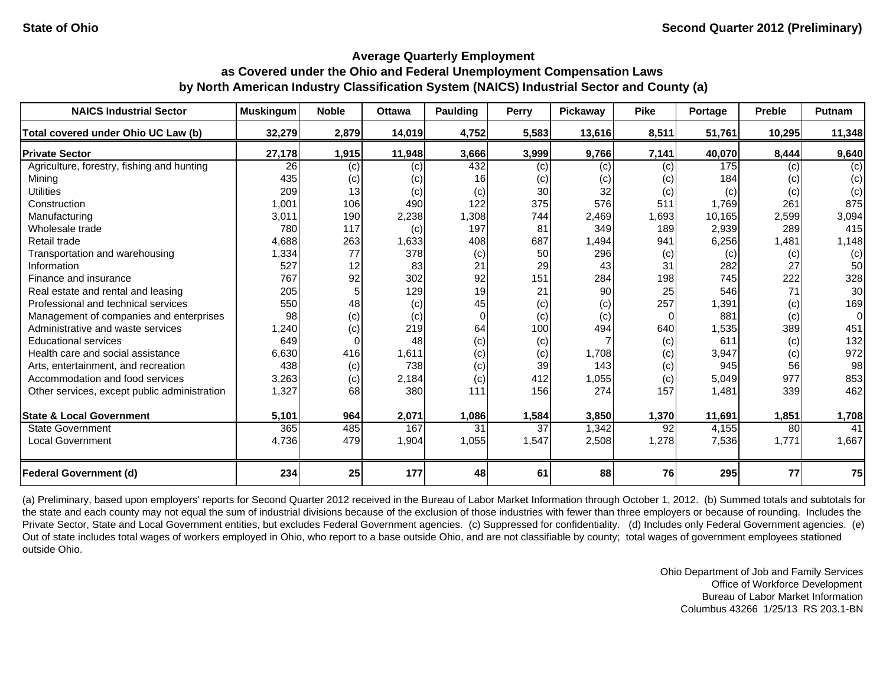| <b>NAICS Industrial Sector</b>               | <b>Muskingum</b> | <b>Noble</b> | <b>Ottawa</b> | Paulding | <b>Perry</b> | Pickaway | <b>Pike</b> | Portage | <b>Preble</b> | Putnam   |
|----------------------------------------------|------------------|--------------|---------------|----------|--------------|----------|-------------|---------|---------------|----------|
| Total covered under Ohio UC Law (b)          | 32,279           | 2,879        | 14,019        | 4,752    | 5,583        | 13,616   | 8,511       | 51,761  | 10,295        | 11,348   |
| <b>Private Sector</b>                        | 27,178           | 1,915        | 11,948        | 3,666    | 3,999        | 9,766    | 7,141       | 40,070  | 8,444         | 9,640    |
| Agriculture, forestry, fishing and hunting   | 26               | (c)          | (c)           | 432      | (c)          | (c)      | (c)         | 175     | (c)           | (c)      |
| Mining                                       | 435              | (c)          | (c)           | 16       | (c)          | (c)      | (c)         | 184     | (c)           | (c)      |
| <b>Utilities</b>                             | 209              | 13           | (c)           | (c)      | 30           | 32       | (c)         | (c)     | (c)           | (c)      |
| Construction                                 | 1,001            | 106          | 490           | 122      | 375          | 576      | 511         | 1,769   | 261           | 875      |
| Manufacturing                                | 3,011            | 190          | 2,238         | 1,308    | 744          | 2,469    | 1,693       | 10,165  | 2,599         | 3,094    |
| Wholesale trade                              | 780              | 117          | (c)           | 197      | 81           | 349      | 189         | 2,939   | 289           | 415      |
| Retail trade                                 | 4,688            | 263          | 1,633         | 408      | 687          | 1,494    | 941         | 6,256   | 1,481         | 1,148    |
| Transportation and warehousing               | 1,334            | 77           | 378           | (c)      | 50           | 296      | (c)         | (c)     | (c)           | (c)      |
| Information                                  | 527              | 12           | 83            | 21       | 29           | 43       | 31          | 282     | 27            | 50       |
| Finance and insurance                        | 767              | 92           | 302           | 92       | 151          | 284      | 198         | 745     | 222           | 328      |
| Real estate and rental and leasing           | 205              |              | 129           | 19       | 21           | 90       | 25          | 546     | 71            | 30       |
| Professional and technical services          | 550              | 48           | (c)           | 45       | (c)          | (c)      | 257         | 1,391   | (c)           | 169      |
| Management of companies and enterprises      | 98               | (c)          | (c)           | $\Omega$ | (c)          | (c)      | $\Omega$    | 881     | (c)           | $\Omega$ |
| Administrative and waste services            | 1,240            | (c)          | 219           | 64       | 100          | 494      | 640         | 1,535   | 389           | 451      |
| <b>Educational services</b>                  | 649              | 0            | 48            | (c)      | (c)          |          | (c)         | 611     | (c)           | 132      |
| Health care and social assistance            | 6,630            | 416          | 1,611         | (c)      | (c)          | 1,708    | (c)         | 3,947   | (c)           | 972      |
| Arts, entertainment, and recreation          | 438              | (c)          | 738           | (c)      | 39           | 143      | (c)         | 945     | 56            | 98       |
| Accommodation and food services              | 3,263            | (c)          | 2,184         | (c)      | 412          | 1,055    | (c)         | 5,049   | 977           | 853      |
| Other services, except public administration | 1,327            | 68           | 380           | 111      | 156          | 274      | 157         | 1,481   | 339           | 462      |
| <b>State &amp; Local Government</b>          | 5,101            | 964          | 2,071         | 1,086    | 1,584        | 3,850    | 1,370       | 11,691  | 1,851         | 1,708    |
| <b>State Government</b>                      | 365              | 485          | 167           | 31       | 37           | 1,342    | 92          | 4,155   | 80            | 41       |
| <b>Local Government</b>                      | 4,736            | 479          | 1,904         | 1,055    | 1,547        | 2,508    | 1,278       | 7,536   | 1,771         | 1,667    |
| <b>Federal Government (d)</b>                | 234              | 25           | 177           | 48       | 61           | 88       | 76          | 295     | 77            | 75       |

(a) Preliminary, based upon employers' reports for Second Quarter 2012 received in the Bureau of Labor Market Information through October 1, 2012. (b) Summed totals and subtotals for the state and each county may not equal the sum of industrial divisions because of the exclusion of those industries with fewer than three employers or because of rounding. Includes the Private Sector, State and Local Government entities, but excludes Federal Government agencies. (c) Suppressed for confidentiality. (d) Includes only Federal Government agencies. (e) Out of state includes total wages of workers employed in Ohio, who report to a base outside Ohio, and are not classifiable by county; total wages of government employees stationed outside Ohio.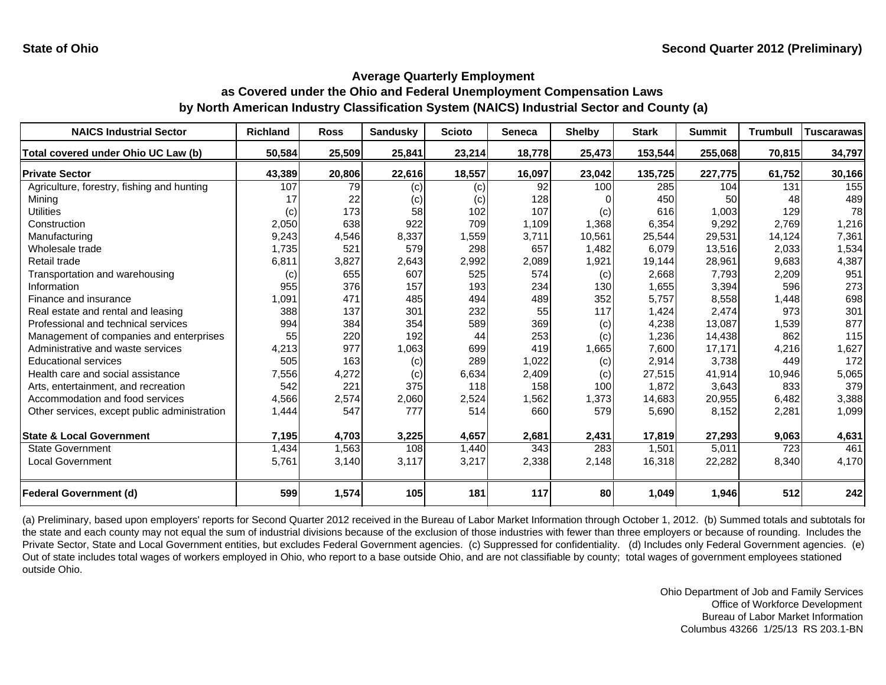| <b>NAICS Industrial Sector</b>               | <b>Richland</b> | <b>Ross</b> | <b>Sandusky</b> | <b>Scioto</b> | <b>Seneca</b> | <b>Shelby</b> | <b>Stark</b> | <b>Summit</b> | <b>Trumbull</b> | <b>Tuscarawas</b> |
|----------------------------------------------|-----------------|-------------|-----------------|---------------|---------------|---------------|--------------|---------------|-----------------|-------------------|
| Total covered under Ohio UC Law (b)          | 50,584          | 25,509      | 25,841          | 23,214        | 18,778        | 25,473        | 153,544      | 255,068       | 70,815          | 34,797            |
| <b>Private Sector</b>                        | 43,389          | 20,806      | 22,616          | 18,557        | 16,097        | 23,042        | 135,725      | 227,775       | 61,752          | 30,166            |
| Agriculture, forestry, fishing and hunting   | 107             | 79          | (c)             | (c)           | 92            | 100           | 285          | 104           | 131             | 155               |
| Mining                                       | 17              | 22          | (c)             | (c)           | 128           |               | 450          | 50            | 48              | 489               |
| <b>Utilities</b>                             | (c)             | 173         | 58              | 102           | 107           | (c)           | 616          | 1.003         | 129             | 78                |
| Construction                                 | 2,050           | 638         | 922             | 709           | 1,109         | 1,368         | 6,354        | 9,292         | 2.769           | 1,216             |
| Manufacturing                                | 9,243           | 4,546       | 8,337           | 1,559         | 3,711         | 10,561        | 25,544       | 29,531        | 14,124          | 7,361             |
| Wholesale trade                              | 1,735           | 521         | 579             | 298           | 657           | 1,482         | 6,079        | 13,516        | 2,033           | 1,534             |
| Retail trade                                 | 6,811           | 3,827       | 2,643           | 2,992         | 2,089         | 1,921         | 19,144       | 28,961        | 9,683           | 4,387             |
| Transportation and warehousing               | (c)             | 655         | 607             | 525           | 574           | (c)           | 2,668        | 7,793         | 2,209           | 951               |
| Information                                  | 955             | 376         | 157             | 193           | 234           | 130           | 1,655        | 3,394         | 596             | 273               |
| Finance and insurance                        | 1,091           | 471         | 485             | 494           | 489           | 352           | 5,757        | 8,558         | 1,448           | 698               |
| Real estate and rental and leasing           | 388             | 137         | 301             | 232           | 55            | 117           | 1,424        | 2,474         | 973             | 301               |
| Professional and technical services          | 994             | 384         | 354             | 589           | 369           | (c)           | 4,238        | 13,087        | 1,539           | 877               |
| Management of companies and enterprises      | 55              | 220         | 192             | 44            | 253           | (c)           | 1,236        | 14,438        | 862             | 115               |
| Administrative and waste services            | 4,213           | 977         | 1,063           | 699           | 419           | 1,665         | 7,600        | 17,171        | 4,216           | 1,627             |
| <b>Educational services</b>                  | 505             | 163         | (c)             | 289           | 1,022         | (c)           | 2,914        | 3,738         | 449             | 172               |
| Health care and social assistance            | 7,556           | 4,272       | (c)             | 6,634         | 2,409         | (c)           | 27,515       | 41,914        | 10,946          | 5,065             |
| Arts, entertainment, and recreation          | 542             | 221         | 375             | 118           | 158           | 100           | 1,872        | 3,643         | 833             | 379               |
| Accommodation and food services              | 4,566           | 2,574       | 2,060           | 2,524         | 1,562         | 1,373         | 14,683       | 20,955        | 6,482           | 3,388             |
| Other services, except public administration | 1,444           | 547         | 777             | 514           | 660           | 579           | 5,690        | 8,152         | 2,281           | 1,099             |
| <b>State &amp; Local Government</b>          | 7,195           | 4,703       | 3,225           | 4,657         | 2,681         | 2,431         | 17,819       | 27,293        | 9,063           | 4,631             |
| <b>State Government</b>                      | 1,434           | 1,563       | 108             | 1,440         | 343           | 283           | 1,501        | 5,011         | 723             | 461               |
| <b>Local Government</b>                      | 5,761           | 3,140       | 3,117           | 3,217         | 2,338         | 2,148         | 16,318       | 22,282        | 8,340           | 4,170             |
| <b>Federal Government (d)</b>                | 599             | 1,574       | 105             | 181           | 117           | 80            | 1,049        | 1,946         | 512             | 242               |

(a) Preliminary, based upon employers' reports for Second Quarter 2012 received in the Bureau of Labor Market Information through October 1, 2012. (b) Summed totals and subtotals for the state and each county may not equal the sum of industrial divisions because of the exclusion of those industries with fewer than three employers or because of rounding. Includes the Private Sector, State and Local Government entities, but excludes Federal Government agencies. (c) Suppressed for confidentiality. (d) Includes only Federal Government agencies. (e) Out of state includes total wages of workers employed in Ohio, who report to a base outside Ohio, and are not classifiable by county; total wages of government employees stationed outside Ohio.